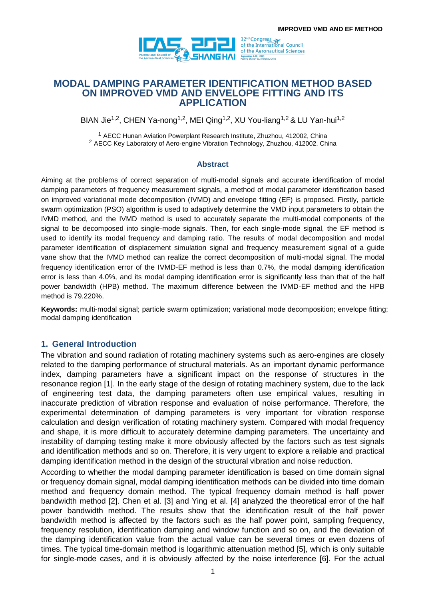

**MODAL DAMPING PARAMETER IDENTIFICATION METHOD BASED ON IMPROVED VMD AND ENVELOPE FITTING AND ITS APPLICATION**

BIAN Jie<sup>1,2</sup>, CHEN Ya-nong<sup>1,2</sup>, MEI Qing<sup>1,2</sup>, XU You-liang<sup>1,2</sup> & LU Yan-hui<sup>1,2</sup>

<sup>1</sup> AECC Hunan Aviation Powerplant Research Institute, Zhuzhou, 412002, China <sup>2</sup> AECC Key Laboratory of Aero-engine Vibration Technology, Zhuzhou, 412002, China

#### **Abstract**

Aiming at the problems of correct separation of multi-modal signals and accurate identification of modal damping parameters of frequency measurement signals, a method of modal parameter identification based on improved variational mode decomposition (IVMD) and envelope fitting (EF) is proposed. Firstly, particle swarm optimization (PSO) algorithm is used to adaptively determine the VMD input parameters to obtain the IVMD method, and the IVMD method is used to accurately separate the multi-modal components of the signal to be decomposed into single-mode signals. Then, for each single-mode signal, the EF method is used to identify its modal frequency and damping ratio. The results of modal decomposition and modal parameter identification of displacement simulation signal and frequency measurement signal of a guide vane show that the IVMD method can realize the correct decomposition of multi-modal signal. The modal frequency identification error of the IVMD-EF method is less than 0.7%, the modal damping identification error is less than 4.0%, and its modal damping identification error is significantly less than that of the half power bandwidth (HPB) method. The maximum difference between the IVMD-EF method and the HPB method is 79.220%.

**Keywords:** multi-modal signal; particle swarm optimization; variational mode decomposition; envelope fitting; modal damping identification

## **1. General Introduction**

The vibration and sound radiation of rotating machinery systems such as aero-engines are closely related to the damping performance of structural materials. As an important dynamic performance index, damping parameters have a significant impact on the response of structures in the resonance region [1]. In the early stage of the design of rotating machinery system, due to the lack of engineering test data, the damping parameters often use empirical values, resulting in inaccurate prediction of vibration response and evaluation of noise performance. Therefore, the experimental determination of damping parameters is very important for vibration response calculation and design verification of rotating machinery system. Compared with modal frequency and shape, it is more difficult to accurately determine damping parameters. The uncertainty and instability of damping testing make it more obviously affected by the factors such as test signals and identification methods and so on. Therefore, it is very urgent to explore a reliable and practical damping identification method in the design of the structural vibration and noise reduction.

According to whether the modal damping parameter identification is based on time domain signal or frequency domain signal, modal damping identification methods can be divided into time domain method and frequency domain method. The typical frequency domain method is half power bandwidth method [2]. Chen et al. [3] and Ying et al. [4] analyzed the theoretical error of the half power bandwidth method. The results show that the identification result of the half power bandwidth method is affected by the factors such as the half power point, sampling frequency, frequency resolution, identification damping and window function and so on, and the deviation of the damping identification value from the actual value can be several times or even dozens of times. The typical time-domain method is logarithmic attenuation method [5], which is only suitable for single-mode cases, and it is obviously affected by the noise interference [6]. For the actual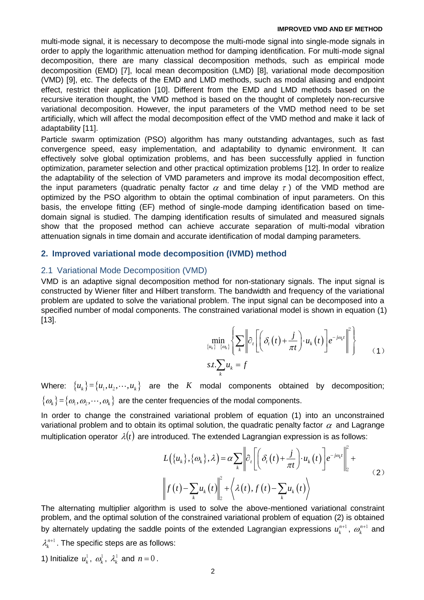multi-mode signal, it is necessary to decompose the multi-mode signal into single-mode signals in order to apply the logarithmic attenuation method for damping identification. For multi-mode signal decomposition, there are many classical decomposition methods, such as empirical mode decomposition (EMD) [7], local mean decomposition (LMD) [8], variational mode decomposition (VMD) [9], etc. The defects of the EMD and LMD methods, such as modal aliasing and endpoint effect, restrict their application [10]. Different from the EMD and LMD methods based on the recursive iteration thought, the VMD method is based on the thought of completely non-recursive variational decomposition. However, the input parameters of the VMD method need to be set artificially, which will affect the modal decomposition effect of the VMD method and make it lack of adaptability [11].

Particle swarm optimization (PSO) algorithm has many outstanding advantages, such as fast convergence speed, easy implementation, and adaptability to dynamic environment. It can effectively solve global optimization problems, and has been successfully applied in function optimization, parameter selection and other practical optimization problems [12]. In order to realize the adaptability of the selection of VMD parameters and improve its modal decomposition effect, the input parameters (quadratic penalty factor  $\alpha$  and time delay  $\tau$ ) of the VMD method are optimized by the PSO algorithm to obtain the optimal combination of input parameters. On this basis, the envelope fitting (EF) method of single-mode damping identification based on timedomain signal is studied. The damping identification results of simulated and measured signals show that the proposed method can achieve accurate separation of multi-modal vibration attenuation signals in time domain and accurate identification of modal damping parameters.

## **2. Improved variational mode decomposition (IVMD) method**

## 2.1 Variational Mode Decomposition (VMD)

VMD is an adaptive signal decomposition method for non-stationary signals. The input signal is constructed by Wiener filter and Hilbert transform. The bandwidth and frequency of the variational problem are updated to solve the variational problem. The input signal can be decomposed into a specified number of modal components. The constrained variational model is shown in equation (1) [13].

$$
\min_{\{u_k\}} \left\{ \sum_{\{v_k\}} \left| \partial_t \left[ \left( \delta_t(t) + \frac{j}{\pi t} \right) u_k(t) \right] e^{-j\omega_k t} \right|^2 \right\}
$$
\n
$$
s.t. \sum_{k} u_k = f \tag{1}
$$

Where:  ${u_k} = {u_1, u_2, \cdots, u_k}$  are the *K* modal components obtained by decomposition;  $\{\omega_{k}\}\!=\!\{\omega_{\!\scriptscriptstyle 1},\omega_{\!\scriptscriptstyle 2},\!\cdots\!,\omega_{\!\scriptscriptstyle k}\}$  are the center frequencies of the modal components.

In order to change the constrained variational problem of equation (1) into an unconstrained variational problem and to obtain its optimal solution, the quadratic penalty factor  $\alpha$  and Lagrange

multiplication operator 
$$
\lambda(t)
$$
 are introduced. The extended Lagrangian expression is as follows:  
\n
$$
L(\{u_k\}, \{\omega_k\}, \lambda) = \alpha \sum_{k} \left\| \partial_r \left[ \left( \delta_t(t) + \frac{j}{\pi t} \right) u_k(t) \right] e^{-j\omega_k t} \right\|_2^2 +
$$
\n
$$
\left\| f(t) - \sum_{k} u_k(t) \right\|_2^2 + \left\langle \lambda(t), f(t) - \sum_{k} u_k(t) \right\rangle
$$
\n(2)

The alternating multiplier algorithm is used to solve the above-mentioned variational constraint problem, and the optimal solution of the constrained variational problem of equation (2) is obtained by alternately updating the saddle points of the extended Lagrangian expressions  $u_k^{n+1}$ ,  $\omega_k^{n+1}$  and  $\lambda_k^{n+1}$  . The specific steps are as follows:

1) Initialize  $u_k^1$ ,  $\omega_k^1$ ,  $\lambda_k^1$  and  $n = 0$ .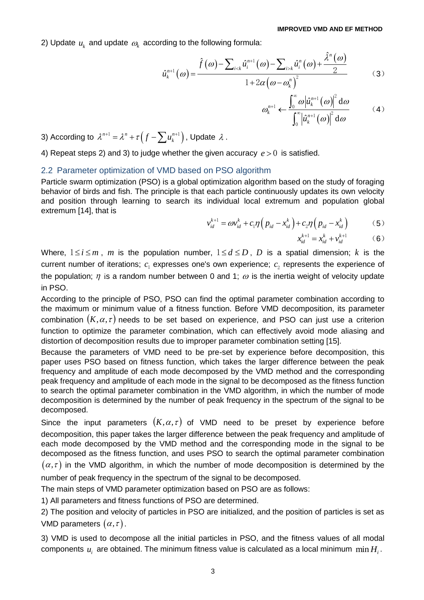2) Update  $u_k$  and update  $\omega_k$  according to the following formula:

$$
\text{ding to the following formula:}
$$
\n
$$
\hat{u}_{k}^{n+1}(a) = \frac{\hat{f}(\omega) - \sum_{i < k} \hat{u}_{i}^{n+1}(\omega) - \sum_{i > k} \hat{u}_{i}^{n}(\omega) + \frac{\hat{\lambda}^{n}(\omega)}{2}}{1 + 2\alpha(\omega - \omega_{k}^{n})^{2}}
$$
\n(3)

$$
\omega_k^{n+1} \leftarrow \frac{\int_0^\infty \omega |\hat{u}_k^{n+1}(\omega)|^2 d\omega}{\int_0^\infty |\hat{u}_k^{n+1}(\omega)|^2 d\omega}
$$
 (4)

3) According to  $\lambda^{n+1} = \lambda^n + \tau\left(f - \sum u_k^{n+1}\right)$ , Update  $\lambda$ .

4) Repeat steps 2) and 3) to judge whether the given accuracy  $e > 0$  is satisfied.

## 2.2 Parameter optimization of VMD based on PSO algorithm

Particle swarm optimization (PSO) is a global optimization algorithm based on the study of foraging behavior of birds and fish. The principle is that each particle continuously updates its own velocity and position through learning to search its individual local extremum and population global extremum [14], that is

$$
v_{id}^{k+1} = \omega v_{id}^k + c_1 \eta \left( p_{id} - x_{id}^k \right) + c_2 \eta \left( p_{id} - x_{id}^k \right) \tag{5}
$$

$$
x_{id}^{k+1} = x_{id}^k + v_{id}^{k+1}
$$
 (6)

Where,  $1 \le i \le m$ , *m* is the population number,  $1 \le d \le D$ , *D* is a spatial dimension; *k* is the current number of iterations;  $c_1$  expresses one's own experience;  $c_2$  represents the experience of the population;  $\eta$  is a random number between 0 and 1;  $\omega$  is the inertia weight of velocity update in PSO.

According to the principle of PSO, PSO can find the optimal parameter combination according to the maximum or minimum value of a fitness function. Before VMD decomposition, its parameter combination  $(K, \alpha, \tau)$  needs to be set based on experience, and PSO can just use a criterion function to optimize the parameter combination, which can effectively avoid mode aliasing and distortion of decomposition results due to improper parameter combination setting [15].

Because the parameters of VMD need to be pre-set by experience before decomposition, this paper uses PSO based on fitness function, which takes the larger difference between the peak frequency and amplitude of each mode decomposed by the VMD method and the corresponding peak frequency and amplitude of each mode in the signal to be decomposed as the fitness function to search the optimal parameter combination in the VMD algorithm, in which the number of mode decomposition is determined by the number of peak frequency in the spectrum of the signal to be decomposed.

Since the input parameters  $(K, \alpha, \tau)$  of VMD need to be preset by experience before decomposition, this paper takes the larger difference between the peak frequency and amplitude of each mode decomposed by the VMD method and the corresponding mode in the signal to be decomposed as the fitness function, and uses PSO to search the optimal parameter combination  $(\alpha, \tau)$  in the VMD algorithm, in which the number of mode decomposition is determined by the

number of peak frequency in the spectrum of the signal to be decomposed.

The main steps of VMD parameter optimization based on PSO are as follows:

1) All parameters and fitness functions of PSO are determined.

2) The position and velocity of particles in PSO are initialized, and the position of particles is set as VMD parameters  $(\alpha, \tau)$ .

3) VMD is used to decompose all the initial particles in PSO, and the fitness values of all modal components  $u_i$  are obtained. The minimum fitness value is calculated as a local minimum  $\min H_i$ .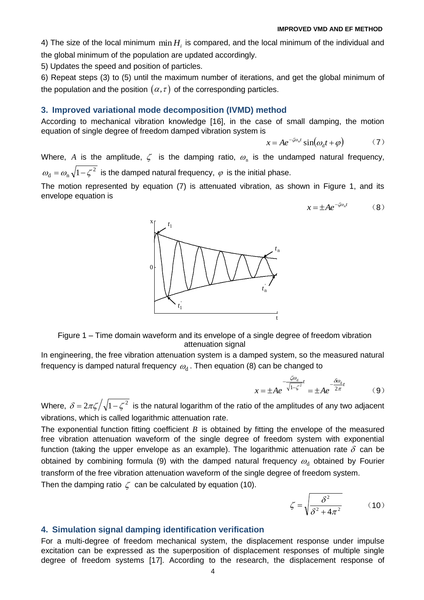4) The size of the local minimum  $\min H$ <sub>i</sub> is compared, and the local minimum of the individual and the global minimum of the population are updated accordingly.

5) Updates the speed and position of particles.

6) Repeat steps (3) to (5) until the maximum number of iterations, and get the global minimum of the population and the position  $(\alpha,\tau)$  of the corresponding particles.

## **3. Improved variational mode decomposition (IVMD) method**

x

1 *t*

0

According to mechanical vibration knowledge [16], in the case of small damping, the motion equation of single degree of freedom damped vibration system is

$$
x = Ae^{-\zeta \omega_{\rm n}t} \sin(\omega_{\rm d}t + \varphi) \tag{7}
$$

n *t*

Where, A is the amplitude,  $\zeta$  is the damping ratio,  $\omega_{\rm n}$  is the undamped natural frequency,  $\omega_{\rm d} = \omega_{\rm n} \sqrt{1-\zeta^2}$  is the damped natural frequency,  $\varphi$  is the initial phase.

The motion represented by equation (7) is attenuated vibration, as shown in Figure 1, and its envelope equation is

$$
x = \pm A e^{-\zeta \omega_{\rm n} t} \tag{8}
$$



In engineering, the free vibration attenuation system is a damped system, so the measured natural frequency is damped natural frequency  $\,\varpi_{\rm d}$  . Then equation (8) can be changed to

$$
x = \pm Ae^{-\frac{\zeta \omega_d}{\sqrt{1-\zeta^2}}t} = \pm Ae^{-\frac{\delta \omega_d}{2\pi}t}
$$
 (9)

Where,  $\delta = 2\pi \zeta / \sqrt{1-\zeta^2}$  is the natural logarithm of the ratio of the amplitudes of any two adjacent vibrations, which is called logarithmic attenuation rate.

The exponential function fitting coefficient  $B$  is obtained by fitting the envelope of the measured free vibration attenuation waveform of the single degree of freedom system with exponential function (taking the upper envelope as an example). The logarithmic attenuation rate  $\delta$  can be obtained by combining formula (9) with the damped natural frequency  $\omega_{\rm d}$  obtained by Fourier transform of the free vibration attenuation waveform of the single degree of freedom system.

Then the damping ratio  $\zeta$  can be calculated by equation (10).

$$
\zeta = \sqrt{\frac{\delta^2}{\delta^2 + 4\pi^2}}\tag{10}
$$

## **4. Simulation signal damping identification verification**

For a multi-degree of freedom mechanical system, the displacement response under impulse excitation can be expressed as the superposition of displacement responses of multiple single degree of freedom systems [17]. According to the research, the displacement response of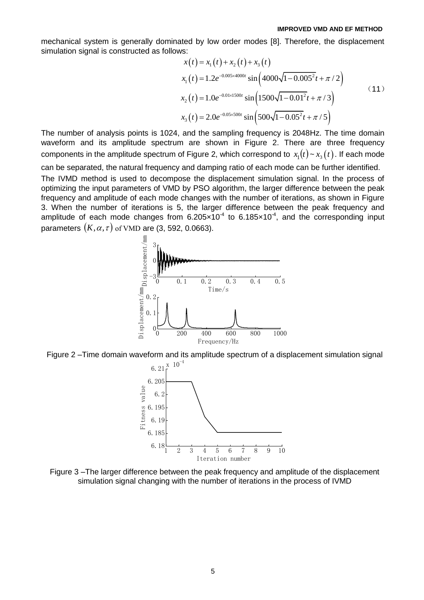mechanical system is generally dominated by low order modes [8]. Therefore, the displacement simulation signal is constructed as follows:<br> $x(t) = x_1(t) + x_2(t) + x_3(t)$ simulation signal is constructed as follows:

$$
x(t) = x_1(t) + x_2(t) + x_3(t)
$$
  
\n
$$
x_1(t) = 1.2e^{-0.005 \times 4000t} \sin\left(4000\sqrt{1 - 0.005^2}t + \pi/2\right)
$$
  
\n
$$
x_2(t) = 1.0e^{-0.01 \times 1500t} \sin\left(1500\sqrt{1 - 0.01^2}t + \pi/3\right)
$$
  
\n
$$
x_3(t) = 2.0e^{-0.05 \times 500t} \sin\left(500\sqrt{1 - 0.05^2}t + \pi/5\right)
$$
\n(11)

The number of analysis points is 1024, and the sampling frequency is 2048Hz. The time domain waveform and its amplitude spectrum are shown in Figure 2. There are three frequency components in the amplitude spectrum of Figure 2, which correspond to  $x_1(t)$  ~  $x_3(t)$ . If each mode can be separated, the natural frequency and damping ratio of each mode can be further identified.

The IVMD method is used to decompose the displacement simulation signal. In the process of optimizing the input parameters of VMD by PSO algorithm, the larger difference between the peak frequency and amplitude of each mode changes with the number of iterations, as shown in Figure 3. When the number of iterations is 5, the larger difference between the peak frequency and amplitude of each mode changes from  $6.205 \times 10^{-4}$  to  $6.185 \times 10^{-4}$ , and the corresponding input parameters  $(K, \alpha, \tau)$  of VMD are (3, 592, 0.0663).







Figure 3 –The larger difference between the peak frequency and amplitude of the displacement simulation signal changing with the number of iterations in the process of IVMD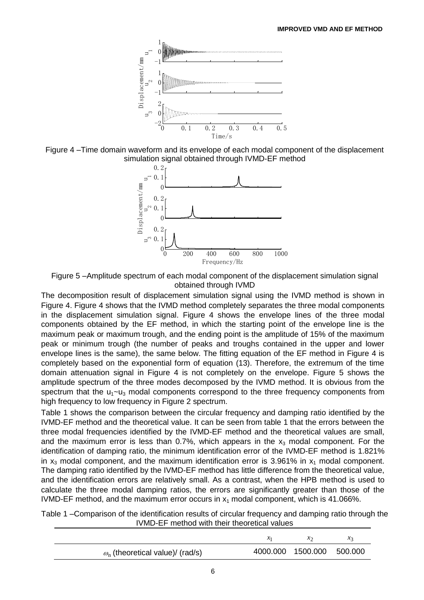

Figure 4 –Time domain waveform and its envelope of each modal component of the displacement simulation signal obtained through IVMD-EF method



Figure 5 –Amplitude spectrum of each modal component of the displacement simulation signal obtained through IVMD

The decomposition result of displacement simulation signal using the IVMD method is shown in Figure 4. Figure 4 shows that the IVMD method completely separates the three modal components in the displacement simulation signal. Figure 4 shows the envelope lines of the three modal components obtained by the EF method, in which the starting point of the envelope line is the maximum peak or maximum trough, and the ending point is the amplitude of 15% of the maximum peak or minimum trough (the number of peaks and troughs contained in the upper and lower envelope lines is the same), the same below. The fitting equation of the EF method in Figure 4 is completely based on the exponential form of equation (13). Therefore, the extremum of the time domain attenuation signal in Figure 4 is not completely on the envelope. Figure 5 shows the amplitude spectrum of the three modes decomposed by the IVMD method. It is obvious from the spectrum that the  $u_1$ ~u<sub>3</sub> modal components correspond to the three frequency components from high frequency to low frequency in Figure 2 spectrum.

Table 1 shows the comparison between the circular frequency and damping ratio identified by the IVMD-EF method and the theoretical value. It can be seen from table 1 that the errors between the three modal frequencies identified by the IVMD-EF method and the theoretical values are small, and the maximum error is less than 0.7%, which appears in the  $x_3$  modal component. For the identification of damping ratio, the minimum identification error of the IVMD-EF method is 1.821% in  $x_3$  modal component, and the maximum identification error is 3.961% in  $x_1$  modal component. The damping ratio identified by the IVMD-EF method has little difference from the theoretical value, and the identification errors are relatively small. As a contrast, when the HPB method is used to calculate the three modal damping ratios, the errors are significantly greater than those of the IVMD-EF method, and the maximum error occurs in  $x_1$  modal component, which is 41.066%.

Table 1 –Comparison of the identification results of circular frequency and damping ratio through the IVMD-EF method with their theoretical values

|                                               | $\lambda$                 |  |
|-----------------------------------------------|---------------------------|--|
| $\omega_{\rm n}$ (theoretical value)/ (rad/s) | 4000.000 1500.000 500.000 |  |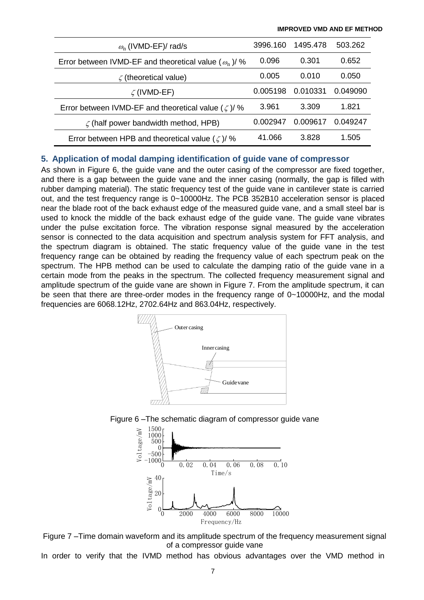| $\omega_{\rm n}$ (IVMD-EF)/ rad/s                            | 3996.160 | 1495.478 | 503.262  |
|--------------------------------------------------------------|----------|----------|----------|
| Error between IVMD-EF and theoretical value ( $\omega_n$ )/% | 0.096    | 0.301    | 0.652    |
| $\zeta$ (theoretical value)                                  | 0.005    | 0.010    | 0.050    |
| $\zeta$ (IVMD-EF)                                            | 0.005198 | 0.010331 | 0.049090 |
| Error between IVMD-EF and theoretical value ( $\zeta$ )/%    | 3.961    | 3.309    | 1.821    |
| $\zeta$ (half power bandwidth method, HPB)                   | 0.002947 | 0.009617 | 0.049247 |
| Error between HPB and theoretical value $(\zeta)/\%$         | 41.066   | 3.828    | 1.505    |

## **5. Application of modal damping identification of guide vane of compressor**

As shown in Figure 6, the guide vane and the outer casing of the compressor are fixed together, and there is a gap between the guide vane and the inner casing (normally, the gap is filled with rubber damping material). The static frequency test of the guide vane in cantilever state is carried out, and the test frequency range is 0~10000Hz. The PCB 352B10 acceleration sensor is placed near the blade root of the back exhaust edge of the measured guide vane, and a small steel bar is used to knock the middle of the back exhaust edge of the guide vane. The guide vane vibrates under the pulse excitation force. The vibration response signal measured by the acceleration sensor is connected to the data acquisition and spectrum analysis system for FFT analysis, and the spectrum diagram is obtained. The static frequency value of the guide vane in the test frequency range can be obtained by reading the frequency value of each spectrum peak on the spectrum. The HPB method can be used to calculate the damping ratio of the guide vane in a certain mode from the peaks in the spectrum. The collected frequency measurement signal and amplitude spectrum of the guide vane are shown in Figure 7. From the amplitude spectrum, it can be seen that there are three-order modes in the frequency range of 0~10000Hz, and the modal frequencies are 6068.12Hz, 2702.64Hz and 863.04Hz, respectively.







Figure 7 –Time domain waveform and its amplitude spectrum of the frequency measurement signal of a compressor guide vane

In order to verify that the IVMD method has obvious advantages over the VMD method in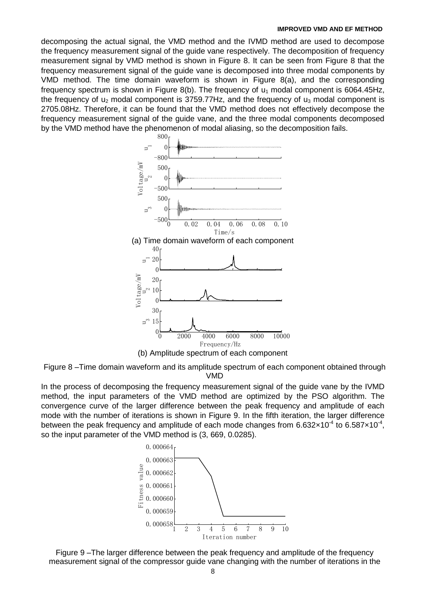decomposing the actual signal, the VMD method and the IVMD method are used to decompose the frequency measurement signal of the guide vane respectively. The decomposition of frequency measurement signal by VMD method is shown in Figure 8. It can be seen from Figure 8 that the frequency measurement signal of the guide vane is decomposed into three modal components by VMD method. The time domain waveform is shown in Figure 8(a), and the corresponding frequency spectrum is shown in Figure 8(b). The frequency of  $u_1$  modal component is 6064.45Hz, the frequency of  $u_2$  modal component is 3759.77Hz, and the frequency of  $u_3$  modal component is 2705.08Hz. Therefore, it can be found that the VMD method does not effectively decompose the frequency measurement signal of the guide vane, and the three modal components decomposed by the VMD method have the phenomenon of modal aliasing, so the decomposition fails.



Figure 8 –Time domain waveform and its amplitude spectrum of each component obtained through VMD

In the process of decomposing the frequency measurement signal of the guide vane by the IVMD method, the input parameters of the VMD method are optimized by the PSO algorithm. The convergence curve of the larger difference between the peak frequency and amplitude of each mode with the number of iterations is shown in Figure 9. In the fifth iteration, the larger difference between the peak frequency and amplitude of each mode changes from 6.632 $\times$ 10<sup>-4</sup> to 6.587 $\times$ 10<sup>-4</sup>, so the input parameter of the VMD method is (3, 669, 0.0285).



Figure 9 –The larger difference between the peak frequency and amplitude of the frequency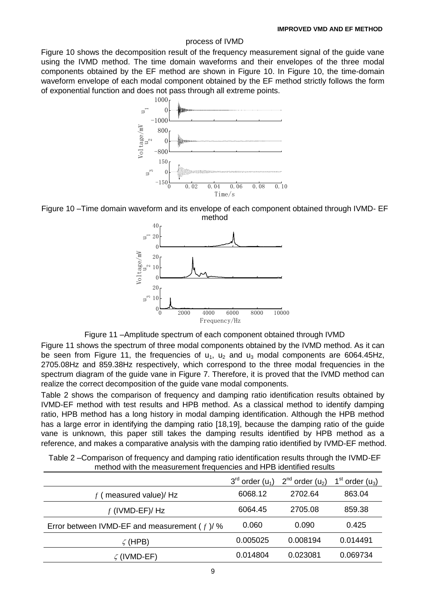## process of IVMD

Figure 10 shows the decomposition result of the frequency measurement signal of the guide vane using the IVMD method. The time domain waveforms and their envelopes of the three modal components obtained by the EF method are shown in Figure 10. In Figure 10, the time-domain waveform envelope of each modal component obtained by the EF method strictly follows the form of exponential function and does not pass through all extreme points.









Figure 11 shows the spectrum of three modal components obtained by the IVMD method. As it can be seen from Figure 11, the frequencies of  $u_1$ ,  $u_2$  and  $u_3$  modal components are 6064.45Hz, 2705.08Hz and 859.38Hz respectively, which correspond to the three modal frequencies in the spectrum diagram of the guide vane in Figure 7. Therefore, it is proved that the IVMD method can realize the correct decomposition of the guide vane modal components.

Table 2 shows the comparison of frequency and damping ratio identification results obtained by IVMD-EF method with test results and HPB method. As a classical method to identify damping ratio, HPB method has a long history in modal damping identification. Although the HPB method has a large error in identifying the damping ratio [18,19], because the damping ratio of the guide vane is unknown, this paper still takes the damping results identified by HPB method as a reference, and makes a comparative analysis with the damping ratio identified by IVMD-EF method.

| <u>metriod with the measurement negueiloles and i'll D'identified results</u> |                        |                        |                               |  |  |
|-------------------------------------------------------------------------------|------------------------|------------------------|-------------------------------|--|--|
|                                                                               | $3^{rd}$ order $(u_1)$ | $2^{nd}$ order $(u_2)$ | 1 <sup>st</sup> order $(u_3)$ |  |  |
| $f$ (measured value)/Hz                                                       | 6068.12                | 2702.64                | 863.04                        |  |  |
| $f$ (IVMD-EF)/Hz                                                              | 6064.45                | 2705.08                | 859.38                        |  |  |
| Error between IVMD-EF and measurement ( $f$ )/%                               | 0.060                  | 0.090                  | 0.425                         |  |  |
| $\zeta$ (HPB)                                                                 | 0.005025               | 0.008194               | 0.014491                      |  |  |
| $\zeta$ (IVMD-EF)                                                             | 0.014804               | 0.023081               | 0.069734                      |  |  |

Table 2 –Comparison of frequency and damping ratio identification results through the IVMD-EF method with the measurement frequencies and HPB identified results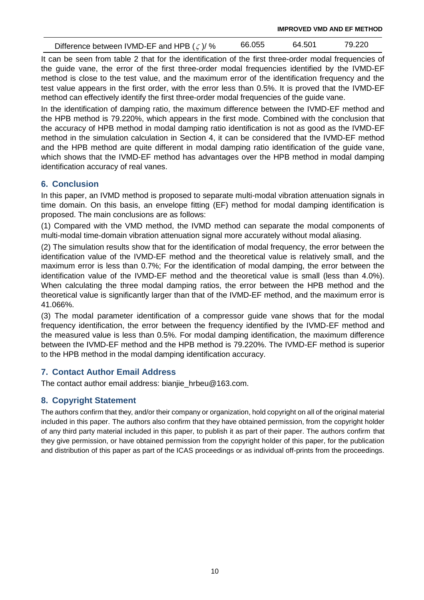Difference between IVMD-EF and HPB ( $\zeta$ )/ % 66.055 64.501 79.220

It can be seen from table 2 that for the identification of the first three-order modal frequencies of the guide vane, the error of the first three-order modal frequencies identified by the IVMD-EF method is close to the test value, and the maximum error of the identification frequency and the test value appears in the first order, with the error less than 0.5%. It is proved that the IVMD-EF method can effectively identify the first three-order modal frequencies of the guide vane.

In the identification of damping ratio, the maximum difference between the IVMD-EF method and the HPB method is 79.220%, which appears in the first mode. Combined with the conclusion that the accuracy of HPB method in modal damping ratio identification is not as good as the IVMD-EF method in the simulation calculation in Section 4, it can be considered that the IVMD-EF method and the HPB method are quite different in modal damping ratio identification of the guide vane, which shows that the IVMD-EF method has advantages over the HPB method in modal damping identification accuracy of real vanes.

# **6. Conclusion**

In this paper, an IVMD method is proposed to separate multi-modal vibration attenuation signals in time domain. On this basis, an envelope fitting (EF) method for modal damping identification is proposed. The main conclusions are as follows:

(1) Compared with the VMD method, the IVMD method can separate the modal components of multi-modal time-domain vibration attenuation signal more accurately without modal aliasing.

(2) The simulation results show that for the identification of modal frequency, the error between the identification value of the IVMD-EF method and the theoretical value is relatively small, and the maximum error is less than 0.7%; For the identification of modal damping, the error between the identification value of the IVMD-EF method and the theoretical value is small (less than 4.0%). When calculating the three modal damping ratios, the error between the HPB method and the theoretical value is significantly larger than that of the IVMD-EF method, and the maximum error is 41.066%.

(3) The modal parameter identification of a compressor guide vane shows that for the modal frequency identification, the error between the frequency identified by the IVMD-EF method and the measured value is less than 0.5%. For modal damping identification, the maximum difference between the IVMD-EF method and the HPB method is 79.220%. The IVMD-EF method is superior to the HPB method in the modal damping identification accuracy.

# **7. Contact Author Email Address**

The contact author email address: bianjie\_hrbeu@163.com.

# **8. Copyright Statement**

The authors confirm that they, and/or their company or organization, hold copyright on all of the original material included in this paper. The authors also confirm that they have obtained permission, from the copyright holder of any third party material included in this paper, to publish it as part of their paper. The authors confirm that they give permission, or have obtained permission from the copyright holder of this paper, for the publication and distribution of this paper as part of the ICAS proceedings or as individual off-prints from the proceedings.